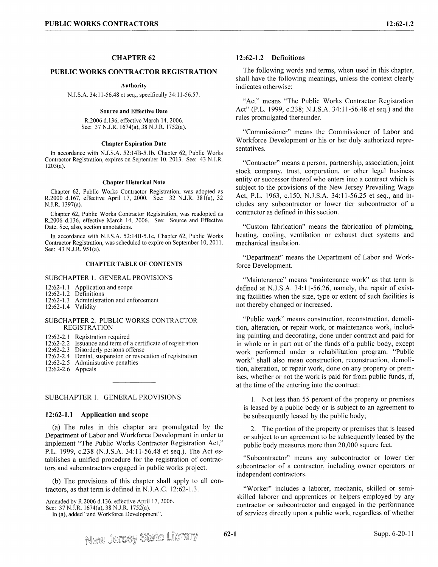# **CHAPTER 62**

## **PUBLIC WORKS CONTRACTOR REGISTRATION**

### **Authority**

N.J.S.A. 34: 11-56.48 et seq., specifically 34:11-56.57.

### **Source and Effective Date**

R.2006 d.136, effective March 14, 2006. See: 37 N.J.R. 1674(a), 38 N.J.R. 1752(a).

#### **Chapter Expiration Date**

In accordance with N.J.S.A. 52:14B-5.lb, Chapter 62, Public Works Contractor Registration, expires on September JO, 2013. See: 43 N.J.R. 1203(a).

### **Chapter Historical Note**

Chapter 62, Public Works Contractor Registration, was adopted as R.2000 d.167, effective April 17, 2000. See: 32 N.J.R. 38l(a), 32 N.J.R. 1397(a).

Chapter 62, Public Works Contractor Registration, was readopted as R.2006 d.136, effective March 14, 2006. See: Source and Effective Date. See, also, section annotations.

In accordance with N.J.S.A. 52:14B-5.lc, Chapter 62, Public Works Contractor Registration, was scheduled to expire on September 10, 2011. See: 43 N.J.R. 95l(a).

### **CHAPTER TABLE OF CONTENTS**

SUBCHAPTER 1. GENERAL PROVISIONS

12:62-1.1 Application and scope<br>12:62-1.2 Definitions

- 12:62-1.2 Definitions<br>12:62-1.3 Administra
- Administration and enforcement<br>Validity
- $12:62-1.4$

### SUBCHAPTER 2. PUBLIC WORKS CONTRACTOR REGISTRATION

12:62-2.1 Registration required<br>12:62-2.2 Issuance and term of

- 12:62-2.2 Issuance and term of a certificate of registration 12:62-2.3 Disorderly persons offense
- 12:62-2.3 Disorderly persons offense<br>12:62-2.4 Denial, suspension or revoc
- 12:62-2.4 Denial, suspension or revocation of registration 12:62-2.5 Administrative penalties
- Administrative penalties
- 12:62-2.6 Appeals

### SUBCHAPTER I. GENERAL PROVISIONS

### **12:62-1.1 Application and scope**

(a) The rules in this chapter are promulgated by the Department of Labor and Workforce Development in order to implement "The Public Works Contractor Registration Act," P.L. 1999, c.238 (N.J.S.A. 34:11-56.48 et seq.). The Act establishes a unified procedure for the registration of contractors and subcontractors engaged in public works project.

(b) The provisions of this chapter shall apply to all contractors, as that term is defined in N.J.A.C. 12:62-1.3.

Amended by R.2006 d.136, effective April 17, 2006.

See: 37 N.J.R. 1674(a), 38 N.J.R. 1752(a).

In (a), added "and Workforce Development".

**62-1** 

## **12:62-1.2 Definitions**

The following words and terms, when used in this chapter, shall have the following meanings, unless the context clearly indicates otherwise:

"Act" means "The Public Works Contractor Registration Act" (P.L. 1999, c.238; N.J.S.A. 34:11-56.48 et seq.) and the rules promulgated thereunder.

"Commissioner" means the Commissioner of Labor and Workforce Development or his or her duly authorized representatives.

"Contractor" means a person, partnership, association, joint stock company, trust, corporation, or other legal business entity or successor thereof who enters into a contract which is subject to the provisions of the New Jersey Prevailing Wage Act, P.L. 1963, c.150, N.J.S.A. 34:11-56.25 et seq., and includes any subcontractor or lower tier subcontractor of a contractor as defined in this section.

"Custom fabrication" means the fabrication of plumbing, heating, cooling, ventilation or exhaust duct systems and mechanical insulation.

"Department" means the Department of Labor and Workforce Development.

"Maintenance" means "maintenance work" as that term is defined at N.J.S.A. 34:11-56.26, namely, the repair of existing facilities when the size, type or extent of such facilities is not thereby changed or increased.

"Public work" means construction, reconstruction, demolition, alteration, or repair work, or maintenance work, including painting and decorating, done under contract and paid for in whole or in part out of the funds of a public body, except work performed under a rehabilitation program. "Public work" shall also mean construction, reconstruction, demolition, alteration, or repair work, done on any property or premises, whether or not the work is paid for from public funds, if, at the time of the entering into the contract:

I. Not less than 55 percent of the property or premises is leased by a public body or is subject to an agreement to be subsequently leased by the public body;

2. The portion of the property or premises that is leased or subject to an agreement to be subsequently leased by the public body measures more than 20,000 square feet.

"Subcontractor" means any subcontractor or lower tier subcontractor of a contractor, including owner operators or independent contractors.

"Worker" includes a laborer, mechanic, skilled or semiskilled laborer and apprentices or helpers employed by any contractor or subcontractor and engaged in the performance of services directly upon a public work, regardless of whether